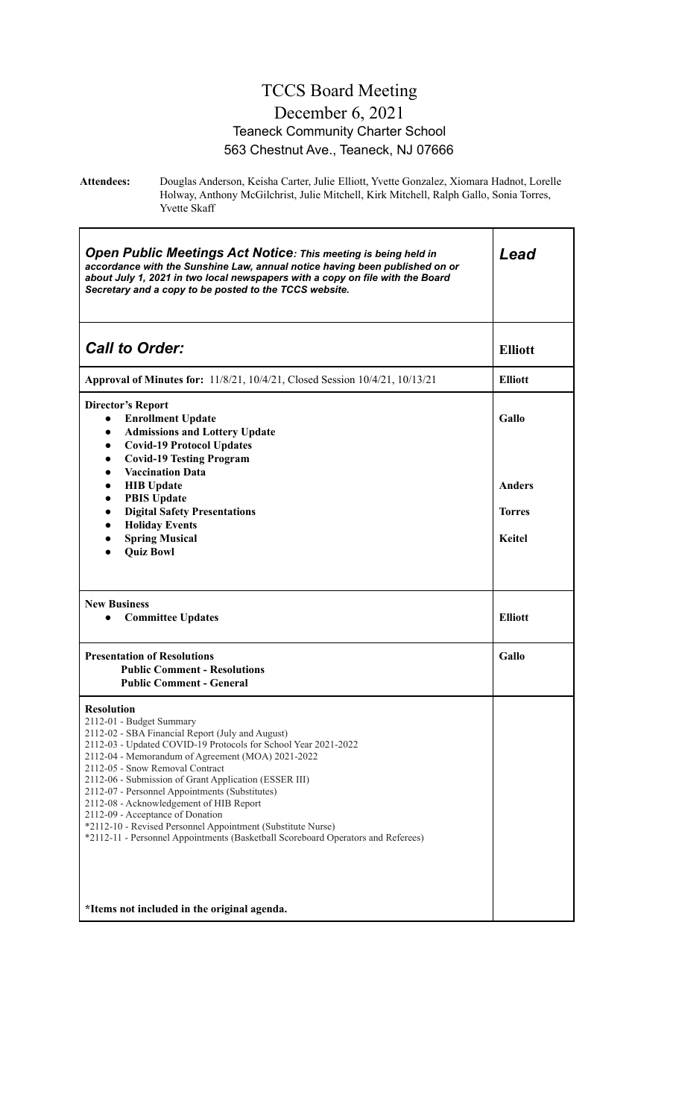#### TCCS Board Meeting December 6, 2021 Teaneck Community Charter School 563 Chestnut Ave., Teaneck, NJ 07666

**Attendees:** Douglas Anderson, Keisha Carter, Julie Elliott, Yvette Gonzalez, Xiomara Hadnot, Lorelle Holway, Anthony McGilchrist, Julie Mitchell, Kirk Mitchell, Ralph Gallo, Sonia Torres, Yvette Skaff

| <b>Open Public Meetings Act Notice: This meeting is being held in</b><br>accordance with the Sunshine Law, annual notice having been published on or<br>about July 1, 2021 in two local newspapers with a copy on file with the Board<br>Secretary and a copy to be posted to the TCCS website.                                                                                                                                                                                                                                                                                                          | Lead                    |
|----------------------------------------------------------------------------------------------------------------------------------------------------------------------------------------------------------------------------------------------------------------------------------------------------------------------------------------------------------------------------------------------------------------------------------------------------------------------------------------------------------------------------------------------------------------------------------------------------------|-------------------------|
| <b>Call to Order:</b>                                                                                                                                                                                                                                                                                                                                                                                                                                                                                                                                                                                    | <b>Elliott</b>          |
| <b>Approval of Minutes for:</b> 11/8/21, 10/4/21, Closed Session 10/4/21, 10/13/21                                                                                                                                                                                                                                                                                                                                                                                                                                                                                                                       | <b>Elliott</b>          |
| <b>Director's Report</b><br><b>Enrollment Update</b><br>$\bullet$<br><b>Admissions and Lottery Update</b><br>$\bullet$<br><b>Covid-19 Protocol Updates</b><br>$\bullet$<br><b>Covid-19 Testing Program</b><br>$\bullet$<br><b>Vaccination Data</b><br>$\bullet$                                                                                                                                                                                                                                                                                                                                          | Gallo                   |
| <b>HIB</b> Update<br>$\bullet$<br><b>PBIS Update</b><br>$\bullet$<br><b>Digital Safety Presentations</b><br>$\bullet$                                                                                                                                                                                                                                                                                                                                                                                                                                                                                    | Anders<br><b>Torres</b> |
| <b>Holiday Events</b><br>$\bullet$<br><b>Spring Musical</b><br><b>Quiz Bowl</b>                                                                                                                                                                                                                                                                                                                                                                                                                                                                                                                          | <b>Keitel</b>           |
| <b>New Business</b><br><b>Committee Updates</b><br>$\bullet$                                                                                                                                                                                                                                                                                                                                                                                                                                                                                                                                             | <b>Elliott</b>          |
| <b>Presentation of Resolutions</b><br><b>Public Comment - Resolutions</b><br><b>Public Comment - General</b>                                                                                                                                                                                                                                                                                                                                                                                                                                                                                             | Gallo                   |
| <b>Resolution</b><br>2112-01 - Budget Summary<br>2112-02 - SBA Financial Report (July and August)<br>2112-03 - Updated COVID-19 Protocols for School Year 2021-2022<br>2112-04 - Memorandum of Agreement (MOA) 2021-2022<br>2112-05 - Snow Removal Contract<br>2112-06 - Submission of Grant Application (ESSER III)<br>2112-07 - Personnel Appointments (Substitutes)<br>2112-08 - Acknowledgement of HIB Report<br>2112-09 - Acceptance of Donation<br>*2112-10 - Revised Personnel Appointment (Substitute Nurse)<br>*2112-11 - Personnel Appointments (Basketball Scoreboard Operators and Referees) |                         |
| *Items not included in the original agenda.                                                                                                                                                                                                                                                                                                                                                                                                                                                                                                                                                              |                         |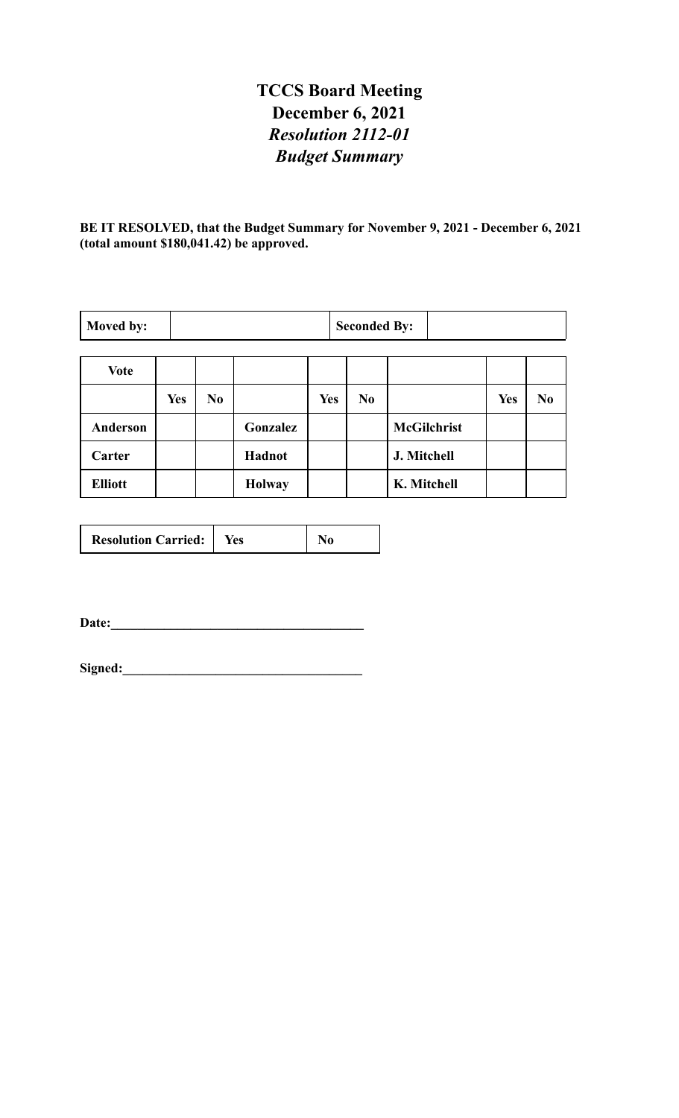# **TCCS Board Meeting December 6, 2021** *Resolution 2112-01 Budget Summary*

**BE IT RESOLVED, that the Budget Summary for November 9, 2021 - December 6, 2021 (total amount \$180,041.42) be approved.**

| Moved by:       |            |                |               |            | <b>Seconded By:</b> |                    |            |                |
|-----------------|------------|----------------|---------------|------------|---------------------|--------------------|------------|----------------|
|                 |            |                |               |            |                     |                    |            |                |
| <b>Vote</b>     |            |                |               |            |                     |                    |            |                |
|                 | <b>Yes</b> | N <sub>0</sub> |               | <b>Yes</b> | N <sub>0</sub>      |                    | <b>Yes</b> | N <sub>0</sub> |
| <b>Anderson</b> |            |                | Gonzalez      |            |                     | <b>McGilchrist</b> |            |                |
| Carter          |            |                | Hadnot        |            |                     | J. Mitchell        |            |                |
| <b>Elliott</b>  |            |                | <b>Holway</b> |            |                     | K. Mitchell        |            |                |

| <b>Resolution Carried:</b> | tes |  |
|----------------------------|-----|--|
|----------------------------|-----|--|

**Date:\_\_\_\_\_\_\_\_\_\_\_\_\_\_\_\_\_\_\_\_\_\_\_\_\_\_\_\_\_\_\_\_\_\_\_\_\_\_**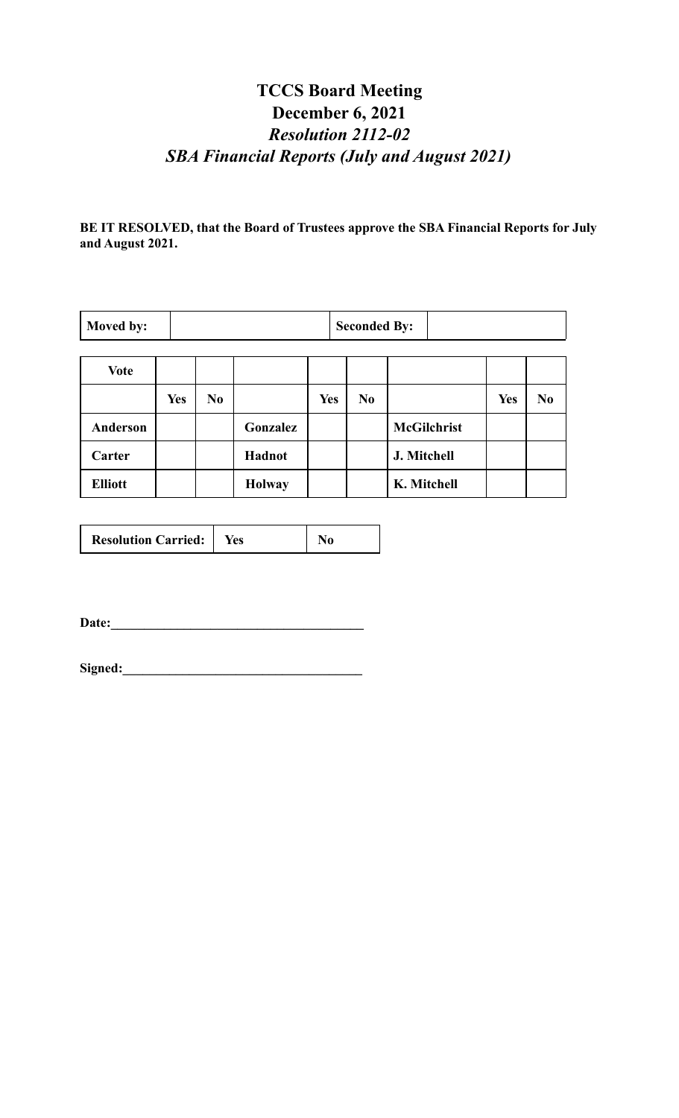# **TCCS Board Meeting December 6, 2021** *Resolution 2112-02 SBA Financial Reports (July and August 2021)*

**BE IT RESOLVED, that the Board of Trustees approve the SBA Financial Reports for July and August 2021.**

| Moved by:      |            |                |               |            | <b>Seconded By:</b> |                    |            |                |
|----------------|------------|----------------|---------------|------------|---------------------|--------------------|------------|----------------|
| <b>Vote</b>    |            |                |               |            |                     |                    |            |                |
|                | <b>Yes</b> | N <sub>0</sub> |               | <b>Yes</b> | N <sub>0</sub>      |                    | <b>Yes</b> | N <sub>0</sub> |
| Anderson       |            |                | Gonzalez      |            |                     | <b>McGilchrist</b> |            |                |
| Carter         |            |                | Hadnot        |            |                     | J. Mitchell        |            |                |
| <b>Elliott</b> |            |                | <b>Holway</b> |            |                     | K. Mitchell        |            |                |

| <b>Resolution Carried:</b> | tes |  |
|----------------------------|-----|--|
|----------------------------|-----|--|

**Date:\_\_\_\_\_\_\_\_\_\_\_\_\_\_\_\_\_\_\_\_\_\_\_\_\_\_\_\_\_\_\_\_\_\_\_\_\_\_**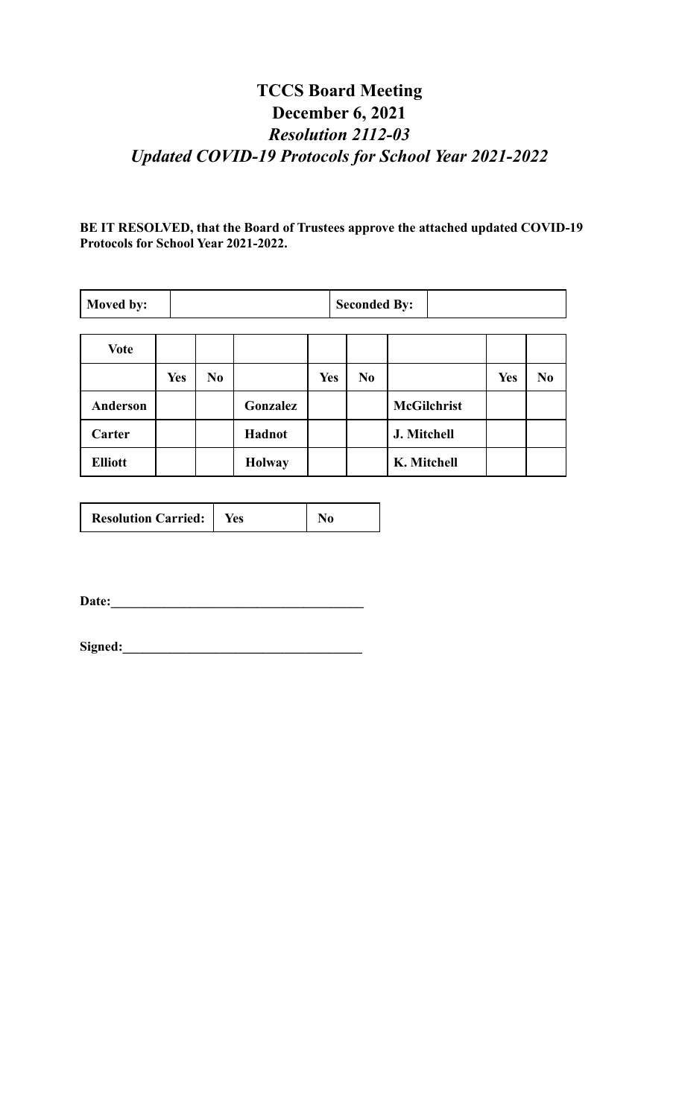# **TCCS Board Meeting December 6, 2021** *Resolution 2112-03 Updated COVID-19 Protocols for School Year 2021-2022*

**BE IT RESOLVED, that the Board of Trustees approve the attached updated COVID-19 Protocols for School Year 2021-2022.**

| Moved by:       |            |                |               |            | <b>Seconded By:</b> |                    |            |                |
|-----------------|------------|----------------|---------------|------------|---------------------|--------------------|------------|----------------|
| <b>Vote</b>     |            |                |               |            |                     |                    |            |                |
|                 | <b>Yes</b> | N <sub>0</sub> |               | <b>Yes</b> | N <sub>0</sub>      |                    | <b>Yes</b> | N <sub>0</sub> |
| <b>Anderson</b> |            |                | Gonzalez      |            |                     | <b>McGilchrist</b> |            |                |
| Carter          |            |                | Hadnot        |            |                     | J. Mitchell        |            |                |
| <b>Elliott</b>  |            |                | <b>Holway</b> |            |                     | K. Mitchell        |            |                |

|--|

**Date:\_\_\_\_\_\_\_\_\_\_\_\_\_\_\_\_\_\_\_\_\_\_\_\_\_\_\_\_\_\_\_\_\_\_\_\_\_\_**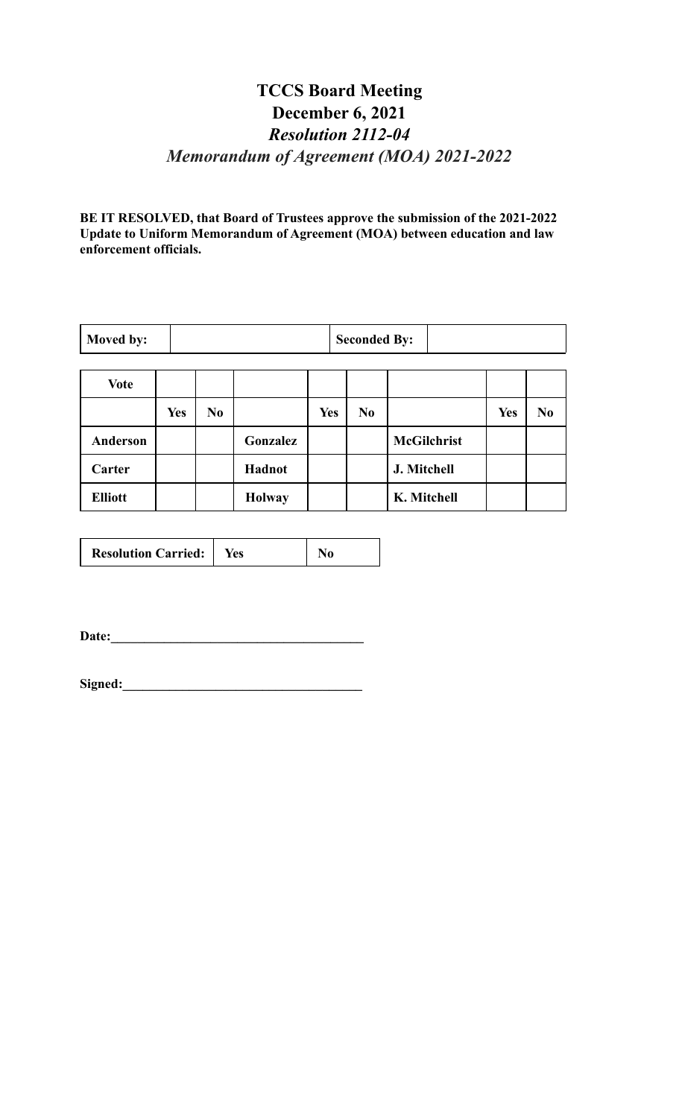#### **TCCS Board Meeting December 6, 2021** *Resolution 2112-04 Memorandum of Agreement (MOA) 2021-2022*

**BE IT RESOLVED, that Board of Trustees approve the submission of the 2021-2022 Update to Uniform Memorandum of Agreement (MOA) between education and law enforcement officials.**

| Moved by: |  |  | <b>Seconded By:</b> |  |  |
|-----------|--|--|---------------------|--|--|
|           |  |  |                     |  |  |
| $ -$      |  |  |                     |  |  |

| <b>Vote</b>    |            |                |               |     |                |                    |     |                |
|----------------|------------|----------------|---------------|-----|----------------|--------------------|-----|----------------|
|                | <b>Yes</b> | N <sub>0</sub> |               | Yes | N <sub>0</sub> |                    | Yes | N <sub>0</sub> |
| Anderson       |            |                | Gonzalez      |     |                | <b>McGilchrist</b> |     |                |
| Carter         |            |                | Hadnot        |     |                | J. Mitchell        |     |                |
| <b>Elliott</b> |            |                | <b>Holway</b> |     |                | K. Mitchell        |     |                |

| <b>Resolution Carried:</b>   Yes |  |
|----------------------------------|--|
|                                  |  |

**Date:\_\_\_\_\_\_\_\_\_\_\_\_\_\_\_\_\_\_\_\_\_\_\_\_\_\_\_\_\_\_\_\_\_\_\_\_\_\_**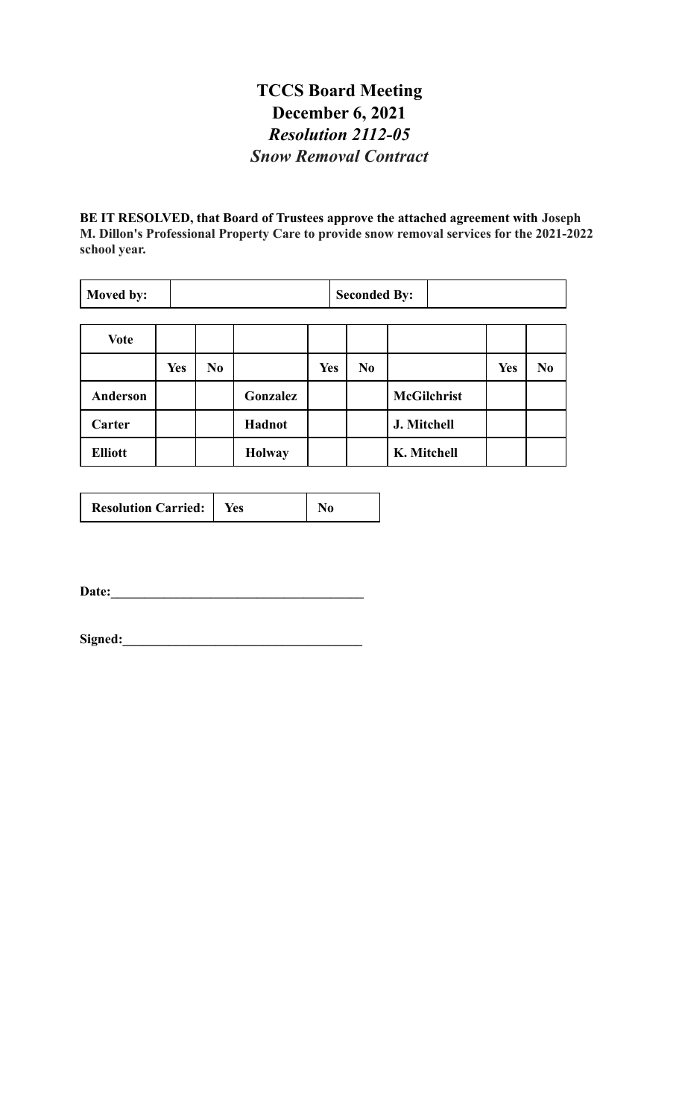#### **TCCS Board Meeting December 6, 2021** *Resolution 2112-05 Snow Removal Contract*

**BE IT RESOLVED, that Board of Trustees approve the attached agreement with Joseph M. Dillon's Professional Property Care to provide snow removal services for the 2021-2022 school year.**

| Moved by:      |            |                |               |            | <b>Seconded By:</b> |                    |            |                |
|----------------|------------|----------------|---------------|------------|---------------------|--------------------|------------|----------------|
| <b>Vote</b>    |            |                |               |            |                     |                    |            |                |
|                | <b>Yes</b> | N <sub>0</sub> |               | <b>Yes</b> | N <sub>0</sub>      |                    | <b>Yes</b> | N <sub>0</sub> |
| Anderson       |            |                | Gonzalez      |            |                     | <b>McGilchrist</b> |            |                |
| Carter         |            |                | <b>Hadnot</b> |            |                     | J. Mitchell        |            |                |
| <b>Elliott</b> |            |                | <b>Holway</b> |            |                     | K. Mitchell        |            |                |

|--|

Date: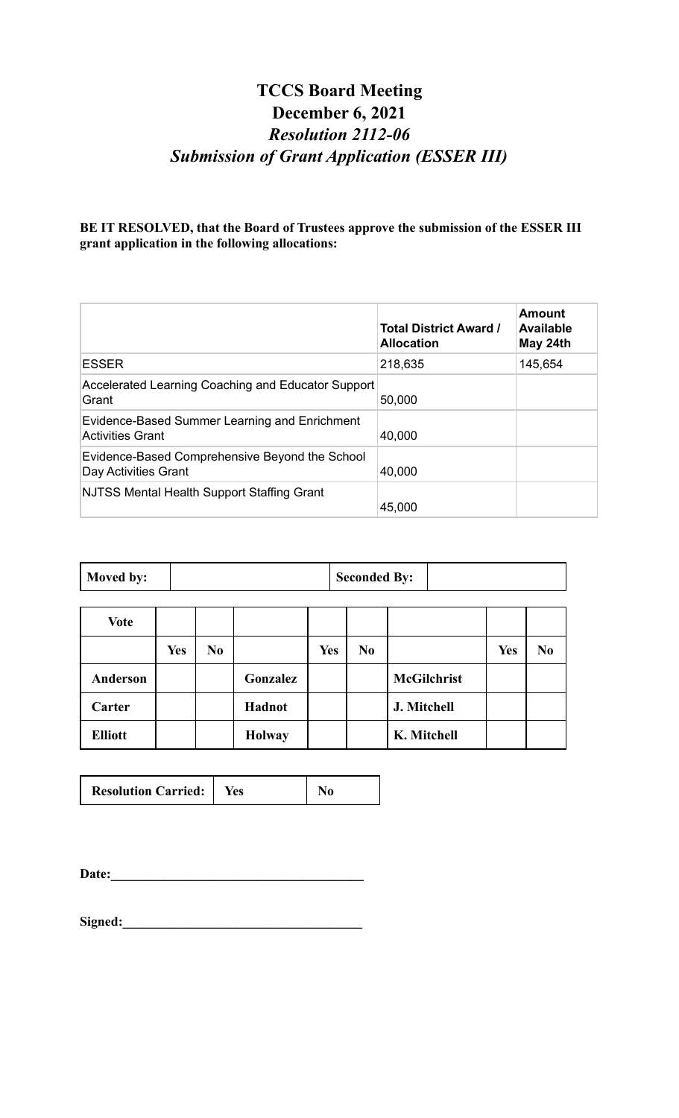# **TCCS Board Meeting December 6, 2021** *Resolution 2112-06 Submission of Grant Application (ESSER III)*

**BE IT RESOLVED, that the Board of Trustees approve the submission of the ESSER III grant application in the following allocations:**

|                                                                          | <b>Total District Award /</b><br><b>Allocation</b> | Amount<br><b>Available</b><br>May 24th |
|--------------------------------------------------------------------------|----------------------------------------------------|----------------------------------------|
| <b>ESSER</b>                                                             | 218,635                                            | 145,654                                |
| Accelerated Learning Coaching and Educator Support<br>Grant              | 50,000                                             |                                        |
| Evidence-Based Summer Learning and Enrichment<br><b>Activities Grant</b> | 40,000                                             |                                        |
| Evidence-Based Comprehensive Beyond the School<br>Day Activities Grant   | 40,000                                             |                                        |
| <b>NJTSS Mental Health Support Staffing Grant</b>                        | 45,000                                             |                                        |

| $\blacksquare$ Moved by: | <b>Seconded By:</b> |  |
|--------------------------|---------------------|--|
|                          |                     |  |

| <b>Vote</b>    |            |                |               |            |                |                    |            |                |
|----------------|------------|----------------|---------------|------------|----------------|--------------------|------------|----------------|
|                | <b>Yes</b> | N <sub>0</sub> |               | <b>Yes</b> | N <sub>0</sub> |                    | <b>Yes</b> | N <sub>0</sub> |
| Anderson       |            |                | Gonzalez      |            |                | <b>McGilchrist</b> |            |                |
| Carter         |            |                | Hadnot        |            |                | J. Mitchell        |            |                |
| <b>Elliott</b> |            |                | <b>Holway</b> |            |                | K. Mitchell        |            |                |

| <b>Resolution Carried:</b><br>res |
|-----------------------------------|
|-----------------------------------|

**Date:\_\_\_\_\_\_\_\_\_\_\_\_\_\_\_\_\_\_\_\_\_\_\_\_\_\_\_\_\_\_\_\_\_\_\_\_\_\_**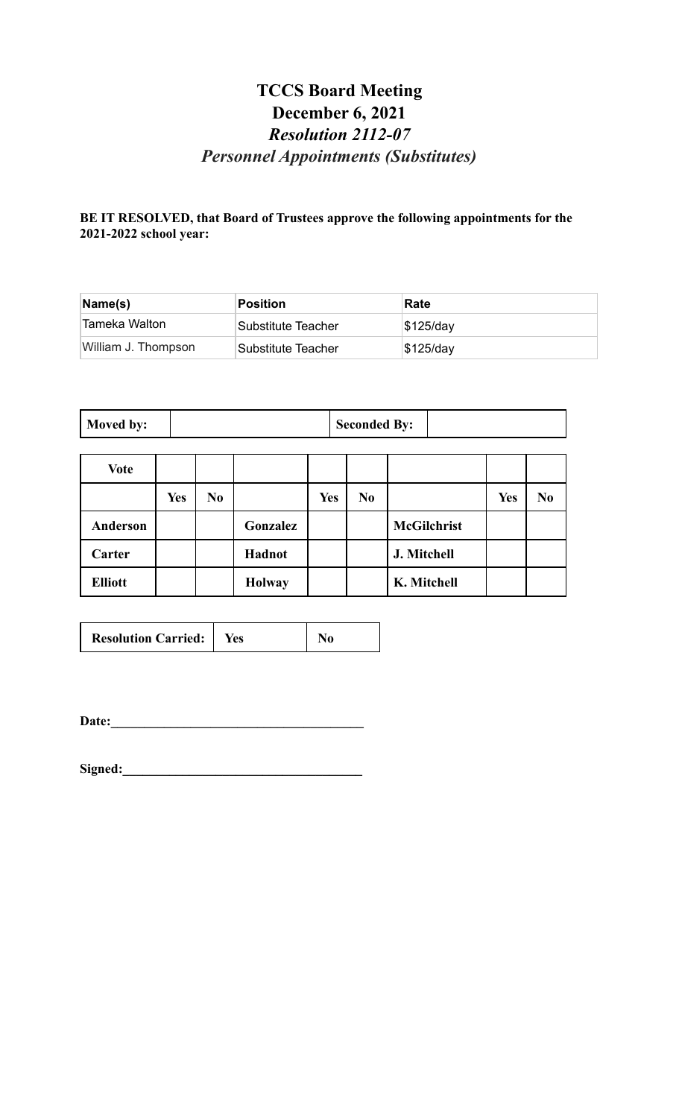# **TCCS Board Meeting December 6, 2021** *Resolution 2112-07 Personnel Appointments (Substitutes)*

#### **BE IT RESOLVED, that Board of Trustees approve the following appointments for the 2021-2022 school year:**

| Name(s)                    | <b>Position</b>    | Rate        |
|----------------------------|--------------------|-------------|
| <sup>≀</sup> Tameka Walton | Substitute Teacher | $$125$ /day |
| William J. Thompson        | Substitute Teacher | $$125$ /day |

| Moved by: | <b>Seconded By:</b> |  |
|-----------|---------------------|--|
|-----------|---------------------|--|

| Vote           |            |                |               |            |                |                    |            |                |
|----------------|------------|----------------|---------------|------------|----------------|--------------------|------------|----------------|
|                | <b>Yes</b> | N <sub>0</sub> |               | <b>Yes</b> | N <sub>0</sub> |                    | <b>Yes</b> | N <sub>0</sub> |
| Anderson       |            |                | Gonzalez      |            |                | <b>McGilchrist</b> |            |                |
| Carter         |            |                | Hadnot        |            |                | J. Mitchell        |            |                |
| <b>Elliott</b> |            |                | <b>Holway</b> |            |                | K. Mitchell        |            |                |

| <b>Resolution Carried:</b>   Yes |  |  |
|----------------------------------|--|--|
|----------------------------------|--|--|

**Date:\_\_\_\_\_\_\_\_\_\_\_\_\_\_\_\_\_\_\_\_\_\_\_\_\_\_\_\_\_\_\_\_\_\_\_\_\_\_**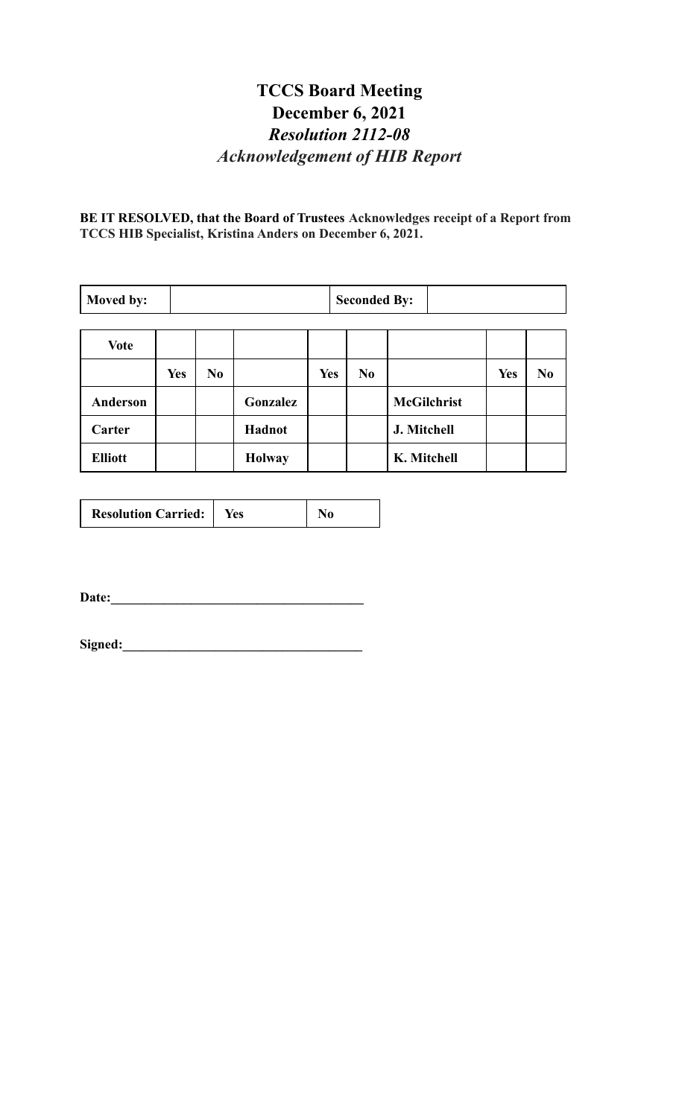# **TCCS Board Meeting December 6, 2021** *Resolution 2112-08 Acknowledgement of HIB Report*

**BE IT RESOLVED, that the Board of Trustees Acknowledges receipt of a Report from TCCS HIB Specialist, Kristina Anders on December 6, 2021.**

| Moved by:       |            | <b>Seconded By:</b> |               |            |  |                |                    |     |                |
|-----------------|------------|---------------------|---------------|------------|--|----------------|--------------------|-----|----------------|
| <b>Vote</b>     |            |                     |               |            |  |                |                    |     |                |
|                 | <b>Yes</b> | N <sub>0</sub>      |               | <b>Yes</b> |  | N <sub>0</sub> |                    | Yes | N <sub>0</sub> |
| <b>Anderson</b> |            |                     | Gonzalez      |            |  |                | <b>McGilchrist</b> |     |                |
| Carter          |            |                     | Hadnot        |            |  |                | J. Mitchell        |     |                |
| <b>Elliott</b>  |            |                     | <b>Holway</b> |            |  |                | K. Mitchell        |     |                |

|--|

**Date:\_\_\_\_\_\_\_\_\_\_\_\_\_\_\_\_\_\_\_\_\_\_\_\_\_\_\_\_\_\_\_\_\_\_\_\_\_\_**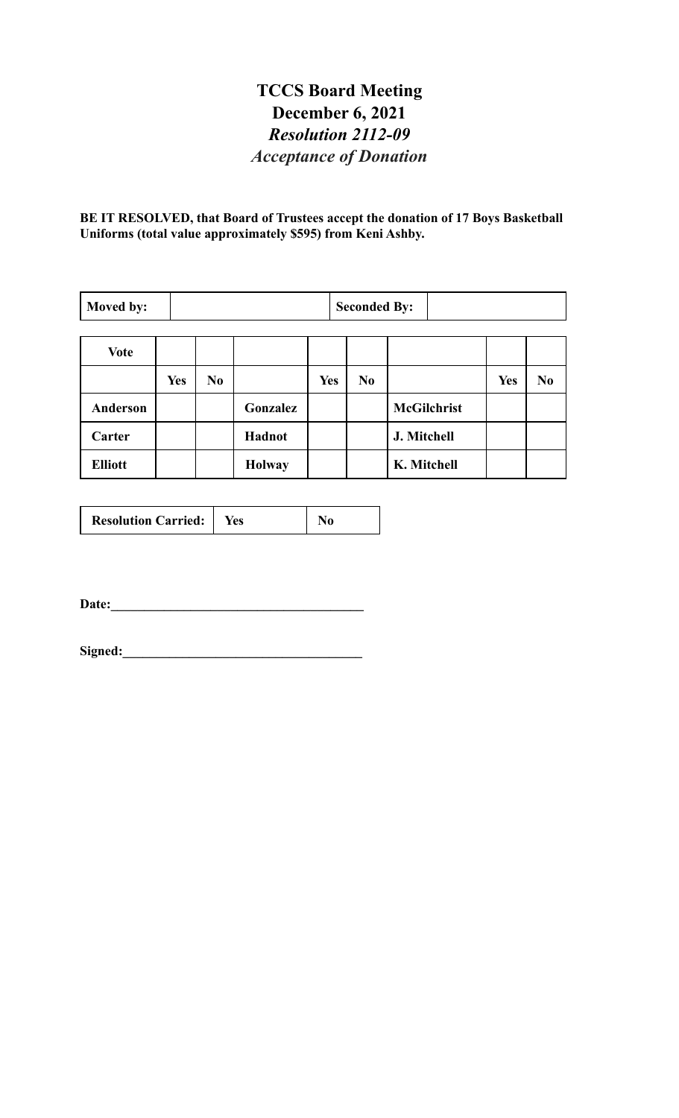# **TCCS Board Meeting December 6, 2021** *Resolution 2112-09 Acceptance of Donation*

**BE IT RESOLVED, that Board of Trustees accept the donation of 17 Boys Basketball Uniforms (total value approximately \$595) from Keni Ashby.**

| Moved by:      | <b>Seconded By:</b> |                |               |            |                |                    |     |                |
|----------------|---------------------|----------------|---------------|------------|----------------|--------------------|-----|----------------|
| <b>Vote</b>    |                     |                |               |            |                |                    |     |                |
|                | <b>Yes</b>          | N <sub>0</sub> |               | <b>Yes</b> | N <sub>0</sub> |                    | Yes | N <sub>0</sub> |
| Anderson       |                     |                | Gonzalez      |            |                | <b>McGilchrist</b> |     |                |
| Carter         |                     |                | Hadnot        |            |                | J. Mitchell        |     |                |
| <b>Elliott</b> |                     |                | <b>Holway</b> |            |                | K. Mitchell        |     |                |

| <b>Resolution Carried:</b> | Yes |  |
|----------------------------|-----|--|
|----------------------------|-----|--|

**Date:\_\_\_\_\_\_\_\_\_\_\_\_\_\_\_\_\_\_\_\_\_\_\_\_\_\_\_\_\_\_\_\_\_\_\_\_\_\_**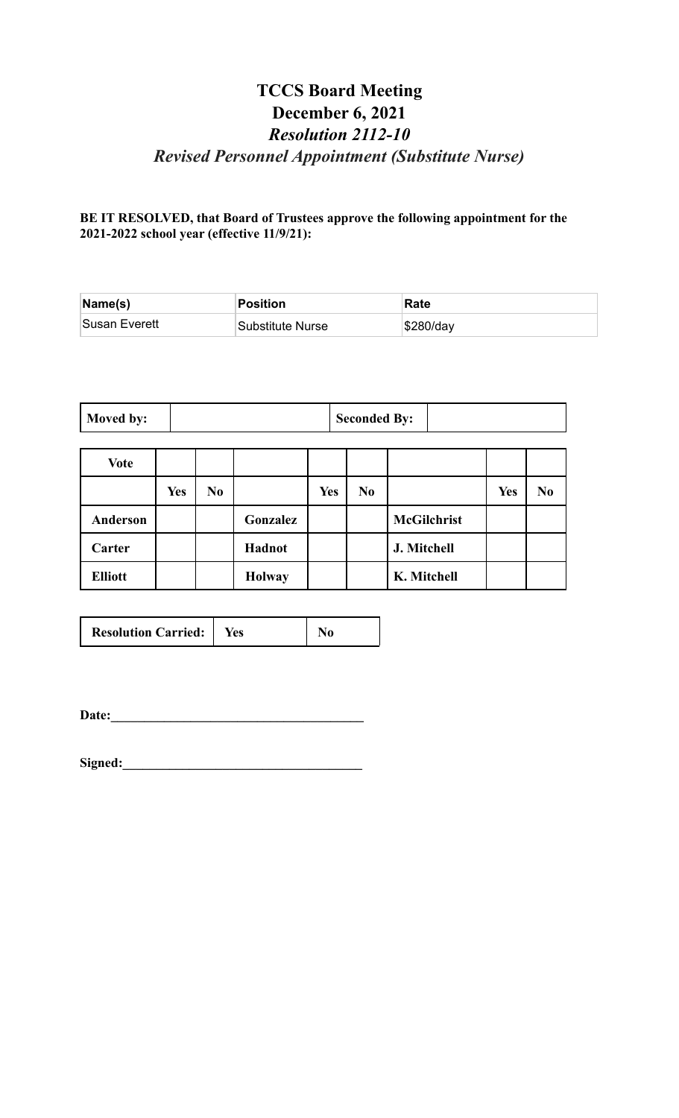# **TCCS Board Meeting December 6, 2021** *Resolution 2112-10 Revised Personnel Appointment (Substitute Nurse)*

**BE IT RESOLVED, that Board of Trustees approve the following appointment for the 2021-2022 school year (effective 11/9/21):**

| Name(s)       | Position         | Rate      |
|---------------|------------------|-----------|
| Susan Everett | Substitute Nurse | \$280/day |

| Moved by: | <b>Seconded By:</b> |  |
|-----------|---------------------|--|
|-----------|---------------------|--|

| <b>Vote</b>     |            |                |               |            |                |                    |            |                |
|-----------------|------------|----------------|---------------|------------|----------------|--------------------|------------|----------------|
|                 | <b>Yes</b> | N <sub>0</sub> |               | <b>Yes</b> | N <sub>0</sub> |                    | <b>Yes</b> | N <sub>0</sub> |
| <b>Anderson</b> |            |                | Gonzalez      |            |                | <b>McGilchrist</b> |            |                |
| Carter          |            |                | Hadnot        |            |                | J. Mitchell        |            |                |
| <b>Elliott</b>  |            |                | <b>Holway</b> |            |                | K. Mitchell        |            |                |

| <b>Resolution Carried:</b> | Yes |  |
|----------------------------|-----|--|
|----------------------------|-----|--|

**Date:\_\_\_\_\_\_\_\_\_\_\_\_\_\_\_\_\_\_\_\_\_\_\_\_\_\_\_\_\_\_\_\_\_\_\_\_\_\_**